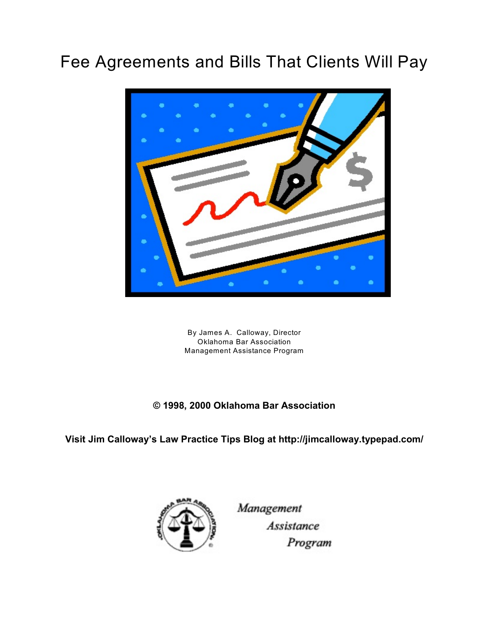# Fee Agreements and Bills That Clients Will Pay



By James A. Calloway, Director Oklahoma Bar Association Management Assistance Program

#### **© 1998, 2000 Oklahoma Bar Association**

**Visit Jim Calloway's Law Practice Tips Blog at http://jimcalloway.typepad.com/**



Management **Assistance** Program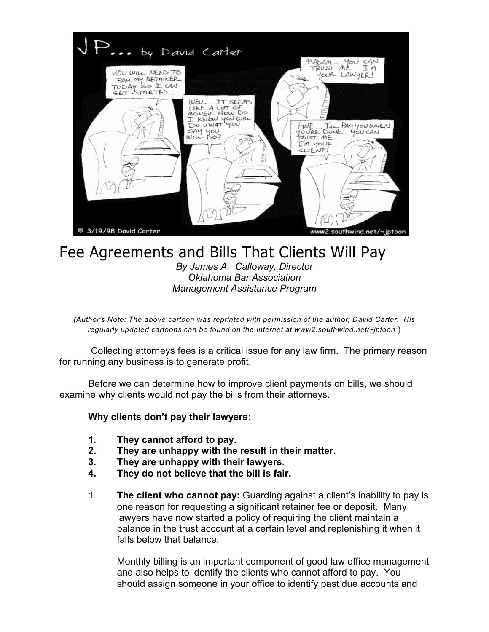

## Fee Agreements and Bills That Clients Will Pay

*By James A. Calloway, Director Oklahoma Bar Association Management Assistance Program*

*(Author's Note: The above cartoon was reprinted with permission of the author, David Carter. His regularly updated cartoons can be found on the Internet at www2.southwind.net/~jptoon* )

 Collecting attorneys fees is a critical issue for any law firm. The primary reason for running any business is to generate profit.

Before we can determine how to improve client payments on bills, we should examine why clients would not pay the bills from their attorneys.

#### **Why clients don't pay their lawyers:**

- **1. They cannot afford to pay.**
- **2. They are unhappy with the result in their matter.**
- **3. They are unhappy with their lawyers.**
- **4. They do not believe that the bill is fair.**
- 1. **The client who cannot pay:** Guarding against a client's inability to pay is one reason for requesting a significant retainer fee or deposit. Many lawyers have now started a policy of requiring the client maintain a balance in the trust account at a certain level and replenishing it when it falls below that balance.

Monthly billing is an important component of good law office management and also helps to identify the clients who cannot afford to pay. You should assign someone in your office to identify past due accounts and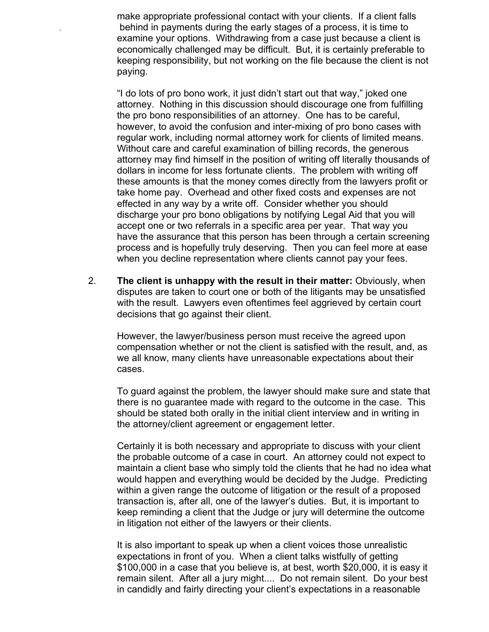make appropriate professional contact with your clients. If a client falls *.* behind in payments during the early stages of a process, it is time to examine your options. Withdrawing from a case just because a client is economically challenged may be difficult. But, it is certainly preferable to keeping responsibility, but not working on the file because the client is not paying.

"I do lots of pro bono work, it just didn't start out that way," joked one attorney. Nothing in this discussion should discourage one from fulfilling the pro bono responsibilities of an attorney. One has to be careful, however, to avoid the confusion and inter-mixing of pro bono cases with regular work, including normal attorney work for clients of limited means. Without care and careful examination of billing records, the generous attorney may find himself in the position of writing off literally thousands of dollars in income for less fortunate clients. The problem with writing off these amounts is that the money comes directly from the lawyers profit or take home pay. Overhead and other fixed costs and expenses are not effected in any way by a write off. Consider whether you should discharge your pro bono obligations by notifying Legal Aid that you will accept one or two referrals in a specific area per year. That way you have the assurance that this person has been through a certain screening process and is hopefully truly deserving. Then you can feel more at ease when you decline representation where clients cannot pay your fees.

2. **The client is unhappy with the result in their matter:** Obviously, when disputes are taken to court one or both of the litigants may be unsatisfied with the result. Lawyers even oftentimes feel aggrieved by certain court decisions that go against their client.

However, the lawyer/business person must receive the agreed upon compensation whether or not the client is satisfied with the result, and, as we all know, many clients have unreasonable expectations about their cases.

To guard against the problem, the lawyer should make sure and state that there is no guarantee made with regard to the outcome in the case. This should be stated both orally in the initial client interview and in writing in the attorney/client agreement or engagement letter.

Certainly it is both necessary and appropriate to discuss with your client the probable outcome of a case in court. An attorney could not expect to maintain a client base who simply told the clients that he had no idea what would happen and everything would be decided by the Judge. Predicting within a given range the outcome of litigation or the result of a proposed transaction is, after all, one of the lawyer's duties. But, it is important to keep reminding a client that the Judge or jury will determine the outcome in litigation not either of the lawyers or their clients.

It is also important to speak up when a client voices those unrealistic expectations in front of you. When a client talks wistfully of getting \$100,000 in a case that you believe is, at best, worth \$20,000, it is easy it remain silent. After all a jury might.... Do not remain silent. Do your best in candidly and fairly directing your client's expectations in a reasonable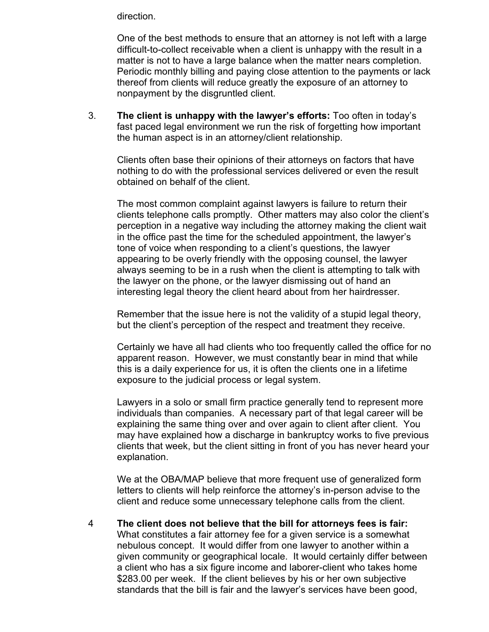direction.

One of the best methods to ensure that an attorney is not left with a large difficult-to-collect receivable when a client is unhappy with the result in a matter is not to have a large balance when the matter nears completion. Periodic monthly billing and paying close attention to the payments or lack thereof from clients will reduce greatly the exposure of an attorney to nonpayment by the disgruntled client.

3. **The client is unhappy with the lawyer's efforts:** Too often in today's fast paced legal environment we run the risk of forgetting how important the human aspect is in an attorney/client relationship.

Clients often base their opinions of their attorneys on factors that have nothing to do with the professional services delivered or even the result obtained on behalf of the client.

The most common complaint against lawyers is failure to return their clients telephone calls promptly. Other matters may also color the client's perception in a negative way including the attorney making the client wait in the office past the time for the scheduled appointment, the lawyer's tone of voice when responding to a client's questions, the lawyer appearing to be overly friendly with the opposing counsel, the lawyer always seeming to be in a rush when the client is attempting to talk with the lawyer on the phone, or the lawyer dismissing out of hand an interesting legal theory the client heard about from her hairdresser.

Remember that the issue here is not the validity of a stupid legal theory, but the client's perception of the respect and treatment they receive.

Certainly we have all had clients who too frequently called the office for no apparent reason. However, we must constantly bear in mind that while this is a daily experience for us, it is often the clients one in a lifetime exposure to the judicial process or legal system.

Lawyers in a solo or small firm practice generally tend to represent more individuals than companies. A necessary part of that legal career will be explaining the same thing over and over again to client after client. You may have explained how a discharge in bankruptcy works to five previous clients that week, but the client sitting in front of you has never heard your explanation.

We at the OBA/MAP believe that more frequent use of generalized form letters to clients will help reinforce the attorney's in-person advise to the client and reduce some unnecessary telephone calls from the client.

4 **The client does not believe that the bill for attorneys fees is fair:** What constitutes a fair attorney fee for a given service is a somewhat nebulous concept. It would differ from one lawyer to another within a given community or geographical locale. It would certainly differ between a client who has a six figure income and laborer-client who takes home \$283.00 per week. If the client believes by his or her own subjective standards that the bill is fair and the lawyer's services have been good,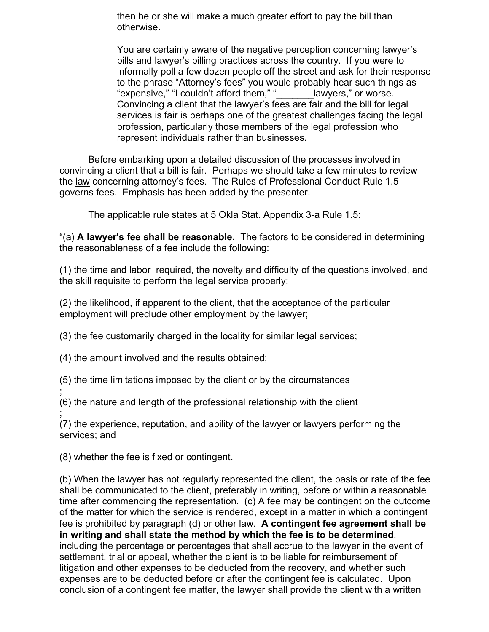then he or she will make a much greater effort to pay the bill than otherwise.

You are certainly aware of the negative perception concerning lawyer's bills and lawyer's billing practices across the country. If you were to informally poll a few dozen people off the street and ask for their response to the phrase "Attorney's fees" you would probably hear such things as "expensive," "I couldn't afford them," "\_\_\_\_\_\_\_lawyers," or worse. Convincing a client that the lawyer's fees are fair and the bill for legal services is fair is perhaps one of the greatest challenges facing the legal profession, particularly those members of the legal profession who represent individuals rather than businesses.

Before embarking upon a detailed discussion of the processes involved in convincing a client that a bill is fair. Perhaps we should take a few minutes to review the law concerning attorney's fees. The Rules of Professional Conduct Rule 1.5 governs fees. Emphasis has been added by the presenter.

The applicable rule states at 5 Okla Stat. Appendix 3-a Rule 1.5:

"(a) **A lawyer's fee shall be reasonable.** The factors to be considered in determining the reasonableness of a fee include the following:

(1) the time and labor required, the novelty and difficulty of the questions involved, and the skill requisite to perform the legal service properly;

(2) the likelihood, if apparent to the client, that the acceptance of the particular employment will preclude other employment by the lawyer;

(3) the fee customarily charged in the locality for similar legal services;

(4) the amount involved and the results obtained;

(5) the time limitations imposed by the client or by the circumstances

; (6) the nature and length of the professional relationship with the client

; (7) the experience, reputation, and ability of the lawyer or lawyers performing the services; and

(8) whether the fee is fixed or contingent.

(b) When the lawyer has not regularly represented the client, the basis or rate of the fee shall be communicated to the client, preferably in writing, before or within a reasonable time after commencing the representation. (c) A fee may be contingent on the outcome of the matter for which the service is rendered, except in a matter in which a contingent fee is prohibited by paragraph (d) or other law. **A contingent fee agreement shall be in writing and shall state the method by which the fee is to be determined**, including the percentage or percentages that shall accrue to the lawyer in the event of settlement, trial or appeal, whether the client is to be liable for reimbursement of litigation and other expenses to be deducted from the recovery, and whether such expenses are to be deducted before or after the contingent fee is calculated. Upon conclusion of a contingent fee matter, the lawyer shall provide the client with a written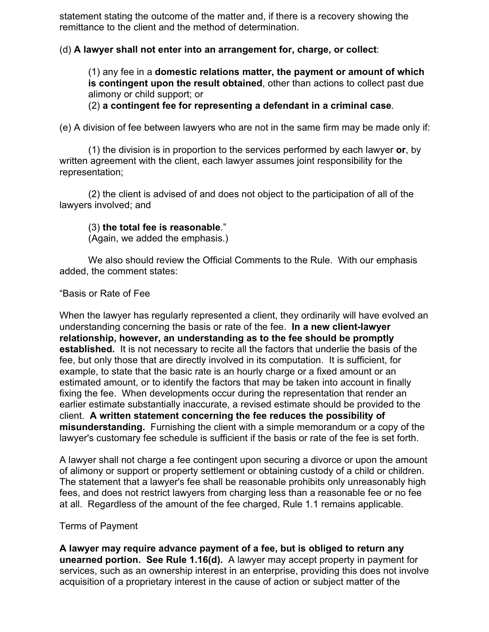statement stating the outcome of the matter and, if there is a recovery showing the remittance to the client and the method of determination.

#### (d) **A lawyer shall not enter into an arrangement for, charge, or collect**:

(1) any fee in a **domestic relations matter, the payment or amount of which is contingent upon the result obtained**, other than actions to collect past due alimony or child support; or

(2) **a contingent fee for representing a defendant in a criminal case**.

(e) A division of fee between lawyers who are not in the same firm may be made only if:

(1) the division is in proportion to the services performed by each lawyer **or**, by written agreement with the client, each lawyer assumes joint responsibility for the representation;

(2) the client is advised of and does not object to the participation of all of the lawyers involved; and

#### (3) **the total fee is reasonable**."

(Again, we added the emphasis.)

We also should review the Official Comments to the Rule. With our emphasis added, the comment states:

#### "Basis or Rate of Fee

When the lawyer has regularly represented a client, they ordinarily will have evolved an understanding concerning the basis or rate of the fee. **In a new client-lawyer relationship, however, an understanding as to the fee should be promptly established.** It is not necessary to recite all the factors that underlie the basis of the fee, but only those that are directly involved in its computation. It is sufficient, for example, to state that the basic rate is an hourly charge or a fixed amount or an estimated amount, or to identify the factors that may be taken into account in finally fixing the fee. When developments occur during the representation that render an earlier estimate substantially inaccurate, a revised estimate should be provided to the client. **A written statement concerning the fee reduces the possibility of misunderstanding.** Furnishing the client with a simple memorandum or a copy of the lawyer's customary fee schedule is sufficient if the basis or rate of the fee is set forth.

A lawyer shall not charge a fee contingent upon securing a divorce or upon the amount of alimony or support or property settlement or obtaining custody of a child or children. The statement that a lawyer's fee shall be reasonable prohibits only unreasonably high fees, and does not restrict lawyers from charging less than a reasonable fee or no fee at all. Regardless of the amount of the fee charged, Rule 1.1 remains applicable.

#### Terms of Payment

**A lawyer may require advance payment of a fee, but is obliged to return any unearned portion. See Rule 1.16(d).** A lawyer may accept property in payment for services, such as an ownership interest in an enterprise, providing this does not involve acquisition of a proprietary interest in the cause of action or subject matter of the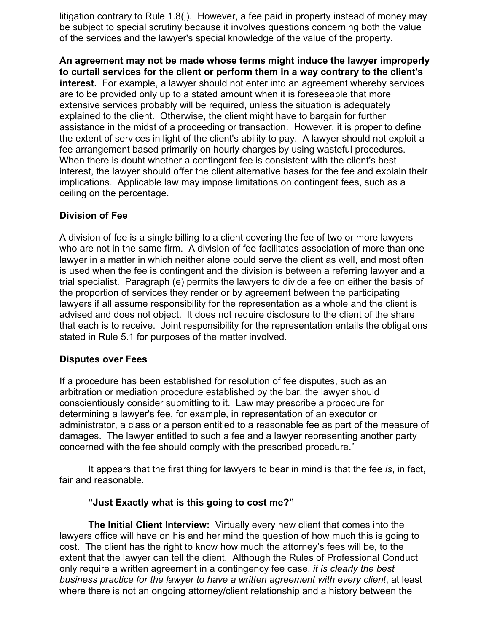litigation contrary to Rule 1.8(j). However, a fee paid in property instead of money may be subject to special scrutiny because it involves questions concerning both the value of the services and the lawyer's special knowledge of the value of the property.

**An agreement may not be made whose terms might induce the lawyer improperly to curtail services for the client or perform them in a way contrary to the client's interest.** For example, a lawyer should not enter into an agreement whereby services are to be provided only up to a stated amount when it is foreseeable that more extensive services probably will be required, unless the situation is adequately explained to the client. Otherwise, the client might have to bargain for further assistance in the midst of a proceeding or transaction. However, it is proper to define the extent of services in light of the client's ability to pay. A lawyer should not exploit a fee arrangement based primarily on hourly charges by using wasteful procedures. When there is doubt whether a contingent fee is consistent with the client's best interest, the lawyer should offer the client alternative bases for the fee and explain their implications. Applicable law may impose limitations on contingent fees, such as a ceiling on the percentage.

#### **Division of Fee**

A division of fee is a single billing to a client covering the fee of two or more lawyers who are not in the same firm. A division of fee facilitates association of more than one lawyer in a matter in which neither alone could serve the client as well, and most often is used when the fee is contingent and the division is between a referring lawyer and a trial specialist. Paragraph (e) permits the lawyers to divide a fee on either the basis of the proportion of services they render or by agreement between the participating lawyers if all assume responsibility for the representation as a whole and the client is advised and does not object. It does not require disclosure to the client of the share that each is to receive. Joint responsibility for the representation entails the obligations stated in Rule 5.1 for purposes of the matter involved.

#### **Disputes over Fees**

If a procedure has been established for resolution of fee disputes, such as an arbitration or mediation procedure established by the bar, the lawyer should conscientiously consider submitting to it. Law may prescribe a procedure for determining a lawyer's fee, for example, in representation of an executor or administrator, a class or a person entitled to a reasonable fee as part of the measure of damages. The lawyer entitled to such a fee and a lawyer representing another party concerned with the fee should comply with the prescribed procedure."

It appears that the first thing for lawyers to bear in mind is that the fee *is*, in fact, fair and reasonable.

#### **"Just Exactly what is this going to cost me?"**

**The Initial Client Interview:** Virtually every new client that comes into the lawyers office will have on his and her mind the question of how much this is going to cost. The client has the right to know how much the attorney's fees will be, to the extent that the lawyer can tell the client. Although the Rules of Professional Conduct only require a written agreement in a contingency fee case, *it is clearly the best business practice for the lawyer to have a written agreement with every client*, at least where there is not an ongoing attorney/client relationship and a history between the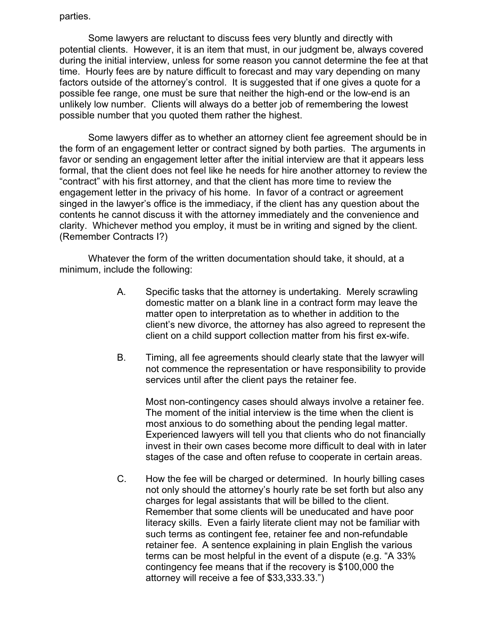parties.

Some lawyers are reluctant to discuss fees very bluntly and directly with potential clients. However, it is an item that must, in our judgment be, always covered during the initial interview, unless for some reason you cannot determine the fee at that time. Hourly fees are by nature difficult to forecast and may vary depending on many factors outside of the attorney's control. It is suggested that if one gives a quote for a possible fee range, one must be sure that neither the high-end or the low-end is an unlikely low number. Clients will always do a better job of remembering the lowest possible number that you quoted them rather the highest.

Some lawyers differ as to whether an attorney client fee agreement should be in the form of an engagement letter or contract signed by both parties. The arguments in favor or sending an engagement letter after the initial interview are that it appears less formal, that the client does not feel like he needs for hire another attorney to review the "contract" with his first attorney, and that the client has more time to review the engagement letter in the privacy of his home. In favor of a contract or agreement singed in the lawyer's office is the immediacy, if the client has any question about the contents he cannot discuss it with the attorney immediately and the convenience and clarity. Whichever method you employ, it must be in writing and signed by the client. (Remember Contracts I?)

Whatever the form of the written documentation should take, it should, at a minimum, include the following:

- A. Specific tasks that the attorney is undertaking. Merely scrawling domestic matter on a blank line in a contract form may leave the matter open to interpretation as to whether in addition to the client's new divorce, the attorney has also agreed to represent the client on a child support collection matter from his first ex-wife.
- B. Timing, all fee agreements should clearly state that the lawyer will not commence the representation or have responsibility to provide services until after the client pays the retainer fee.

Most non-contingency cases should always involve a retainer fee. The moment of the initial interview is the time when the client is most anxious to do something about the pending legal matter. Experienced lawyers will tell you that clients who do not financially invest in their own cases become more difficult to deal with in later stages of the case and often refuse to cooperate in certain areas.

C. How the fee will be charged or determined. In hourly billing cases not only should the attorney's hourly rate be set forth but also any charges for legal assistants that will be billed to the client. Remember that some clients will be uneducated and have poor literacy skills. Even a fairly literate client may not be familiar with such terms as contingent fee, retainer fee and non-refundable retainer fee. A sentence explaining in plain English the various terms can be most helpful in the event of a dispute (e.g. "A 33% contingency fee means that if the recovery is \$100,000 the attorney will receive a fee of \$33,333.33.")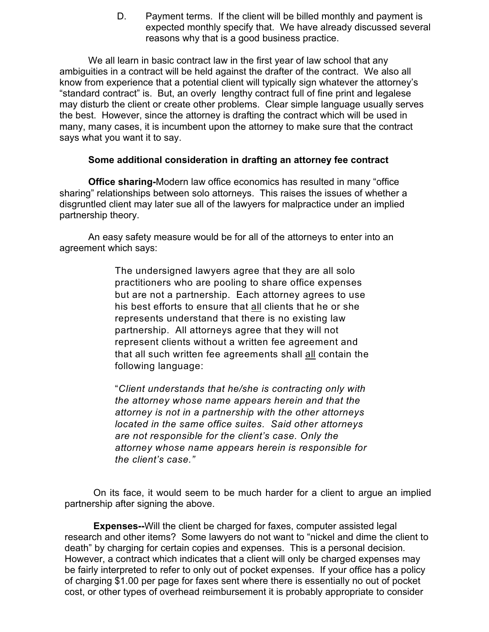D. Payment terms. If the client will be billed monthly and payment is expected monthly specify that. We have already discussed several reasons why that is a good business practice.

We all learn in basic contract law in the first year of law school that any ambiguities in a contract will be held against the drafter of the contract. We also all know from experience that a potential client will typically sign whatever the attorney's "standard contract" is. But, an overly lengthy contract full of fine print and legalese may disturb the client or create other problems. Clear simple language usually serves the best. However, since the attorney is drafting the contract which will be used in many, many cases, it is incumbent upon the attorney to make sure that the contract says what you want it to say.

#### **Some additional consideration in drafting an attorney fee contract**

**Office sharing-**Modern law office economics has resulted in many "office sharing" relationships between solo attorneys. This raises the issues of whether a disgruntled client may later sue all of the lawyers for malpractice under an implied partnership theory.

An easy safety measure would be for all of the attorneys to enter into an agreement which says:

> The undersigned lawyers agree that they are all solo practitioners who are pooling to share office expenses but are not a partnership. Each attorney agrees to use his best efforts to ensure that all clients that he or she represents understand that there is no existing law partnership. All attorneys agree that they will not represent clients without a written fee agreement and that all such written fee agreements shall all contain the following language:

> "*Client understands that he/she is contracting only with the attorney whose name appears herein and that the attorney is not in a partnership with the other attorneys located in the same office suites. Said other attorneys are not responsible for the client's case. Only the attorney whose name appears herein is responsible for the client's case."*

On its face, it would seem to be much harder for a client to argue an implied partnership after signing the above.

**Expenses--**Will the client be charged for faxes, computer assisted legal research and other items? Some lawyers do not want to "nickel and dime the client to death" by charging for certain copies and expenses. This is a personal decision. However, a contract which indicates that a client will only be charged expenses may be fairly interpreted to refer to only out of pocket expenses. If your office has a policy of charging \$1.00 per page for faxes sent where there is essentially no out of pocket cost, or other types of overhead reimbursement it is probably appropriate to consider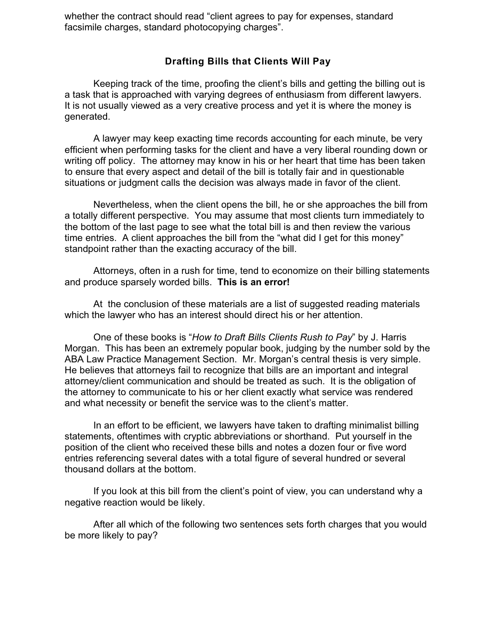whether the contract should read "client agrees to pay for expenses, standard facsimile charges, standard photocopying charges".

#### **Drafting Bills that Clients Will Pay**

Keeping track of the time, proofing the client's bills and getting the billing out is a task that is approached with varying degrees of enthusiasm from different lawyers. It is not usually viewed as a very creative process and yet it is where the money is generated.

A lawyer may keep exacting time records accounting for each minute, be very efficient when performing tasks for the client and have a very liberal rounding down or writing off policy. The attorney may know in his or her heart that time has been taken to ensure that every aspect and detail of the bill is totally fair and in questionable situations or judgment calls the decision was always made in favor of the client.

Nevertheless, when the client opens the bill, he or she approaches the bill from a totally different perspective. You may assume that most clients turn immediately to the bottom of the last page to see what the total bill is and then review the various time entries. A client approaches the bill from the "what did I get for this money" standpoint rather than the exacting accuracy of the bill.

Attorneys, often in a rush for time, tend to economize on their billing statements and produce sparsely worded bills. **This is an error!**

At the conclusion of these materials are a list of suggested reading materials which the lawyer who has an interest should direct his or her attention.

One of these books is "*How to Draft Bills Clients Rush to Pay*" by J. Harris Morgan. This has been an extremely popular book, judging by the number sold by the ABA Law Practice Management Section. Mr. Morgan's central thesis is very simple. He believes that attorneys fail to recognize that bills are an important and integral attorney/client communication and should be treated as such. It is the obligation of the attorney to communicate to his or her client exactly what service was rendered and what necessity or benefit the service was to the client's matter.

In an effort to be efficient, we lawyers have taken to drafting minimalist billing statements, oftentimes with cryptic abbreviations or shorthand. Put yourself in the position of the client who received these bills and notes a dozen four or five word entries referencing several dates with a total figure of several hundred or several thousand dollars at the bottom.

If you look at this bill from the client's point of view, you can understand why a negative reaction would be likely.

After all which of the following two sentences sets forth charges that you would be more likely to pay?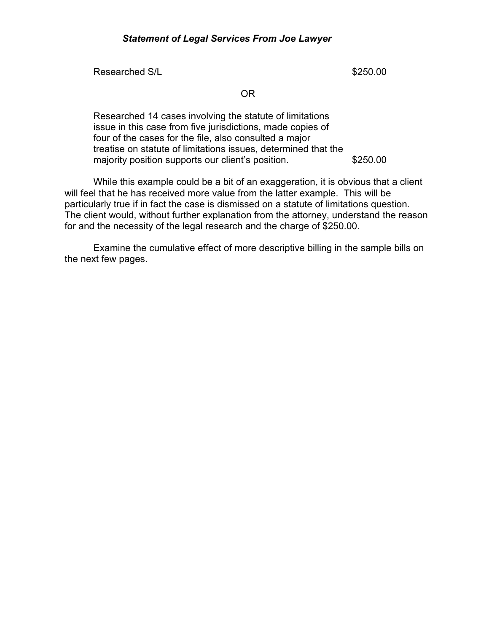Researched S/L **B S250.00** 

OR

Researched 14 cases involving the statute of limitations issue in this case from five jurisdictions, made copies of four of the cases for the file, also consulted a major treatise on statute of limitations issues, determined that the majority position supports our client's position. \$250.00

While this example could be a bit of an exaggeration, it is obvious that a client will feel that he has received more value from the latter example. This will be particularly true if in fact the case is dismissed on a statute of limitations question. The client would, without further explanation from the attorney, understand the reason for and the necessity of the legal research and the charge of \$250.00.

Examine the cumulative effect of more descriptive billing in the sample bills on the next few pages.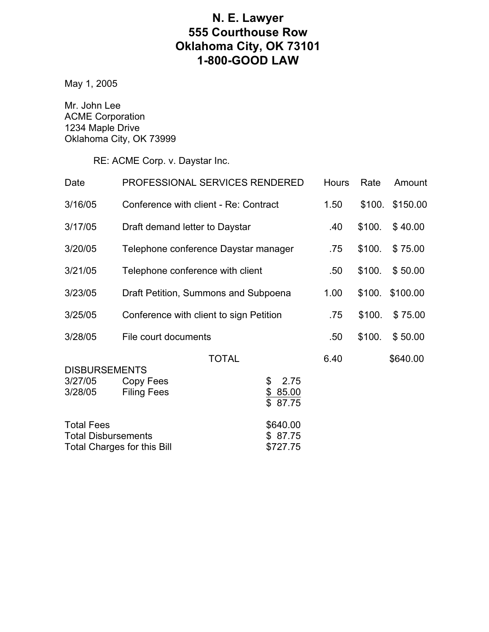## **N. E. Lawyer 555 Courthouse Row Oklahoma City, OK 73101 1-800-GOOD LAW**

May 1, 2005

Mr. John Lee ACME Corporation 1234 Maple Drive Oklahoma City, OK 73999

RE: ACME Corp. v. Daystar Inc.

| Date                                                                                  | PROFESSIONAL SERVICES RENDERED                  |                                             |      | Rate   | Amount   |
|---------------------------------------------------------------------------------------|-------------------------------------------------|---------------------------------------------|------|--------|----------|
| 3/16/05                                                                               | Conference with client - Re: Contract           |                                             | 1.50 | \$100. | \$150.00 |
| 3/17/05                                                                               | Draft demand letter to Daystar                  |                                             | .40  | \$100. | \$40.00  |
| 3/20/05                                                                               | Telephone conference Daystar manager            |                                             | .75  | \$100. | \$75.00  |
| 3/21/05                                                                               | Telephone conference with client                |                                             | .50  | \$100. | \$50.00  |
| 3/23/05                                                                               | Draft Petition, Summons and Subpoena            |                                             | 1.00 | \$100. | \$100.00 |
| 3/25/05                                                                               | Conference with client to sign Petition         |                                             | .75  | \$100. | \$75.00  |
| 3/28/05                                                                               | File court documents                            |                                             | .50  | \$100. | \$50.00  |
| <b>DISBURSEMENTS</b><br>3/27/05<br>3/28/05                                            | <b>TOTAL</b><br>Copy Fees<br><b>Filing Fees</b> | 2.75<br>\$<br><u>\$</u><br>85.00<br>\$87.75 | 6.40 |        | \$640.00 |
| <b>Total Fees</b><br><b>Total Disbursements</b><br><b>Total Charges for this Bill</b> |                                                 | \$640.00<br>87.75<br>\$.<br>\$727.75        |      |        |          |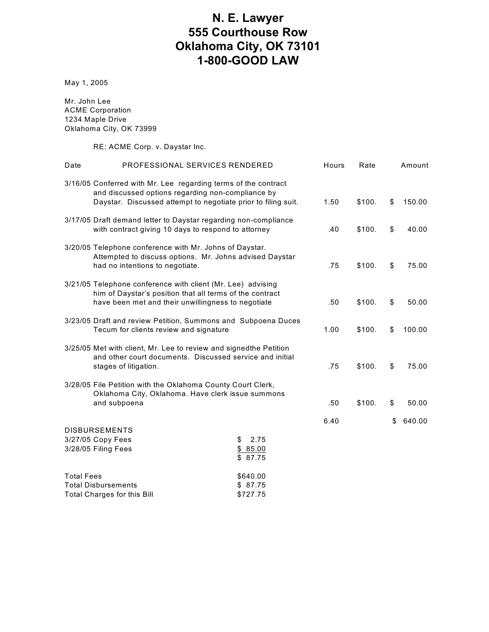## **N. E. Lawyer 555 Courthouse Row Oklahoma City, OK 73101 1-800-GOOD LAW**

May 1, 2005

Mr. John Lee ACME Corporation 1234 Maple Drive Oklahoma City, OK 73999

RE: ACME Corp. v. Daystar Inc.

| Date                                                                                                                                                                                 | PROFESSIONAL SERVICES RENDERED |                                  | Hours  | Rate         | Amount       |
|--------------------------------------------------------------------------------------------------------------------------------------------------------------------------------------|--------------------------------|----------------------------------|--------|--------------|--------------|
| 3/16/05 Conferred with Mr. Lee regarding terms of the contract<br>and discussed options regarding non-compliance by<br>Daystar. Discussed attempt to negotiate prior to filing suit. |                                |                                  | 1.50   | \$100.       | \$<br>150.00 |
| 3/17/05 Draft demand letter to Daystar regarding non-compliance<br>with contract giving 10 days to respond to attorney                                                               |                                |                                  | .40    | \$100.       | \$<br>40.00  |
| 3/20/05 Telephone conference with Mr. Johns of Daystar.<br>Attempted to discuss options. Mr. Johns advised Daystar<br>had no intentions to negotiate.                                |                                |                                  | .75    | \$100.       | \$<br>75.00  |
| 3/21/05 Telephone conference with client (Mr. Lee) advising<br>him of Daystar's position that all terms of the contract<br>have been met and their unwillingness to negotiate        |                                | .50                              | \$100. | \$<br>50.00  |              |
| 3/23/05 Draft and review Petition, Summons and Subpoena Duces<br>Tecum for clients review and signature                                                                              |                                | 1.00                             | \$100. | \$<br>100.00 |              |
| 3/25/05 Met with client, Mr. Lee to review and signedthe Petition<br>and other court documents. Discussed service and initial<br>stages of litigation.                               |                                | .75                              | \$100. | \$<br>75.00  |              |
| 3/28/05 File Petition with the Oklahoma County Court Clerk,<br>Oklahoma City, Oklahoma. Have clerk issue summons                                                                     |                                |                                  |        |              |              |
| and subpoena                                                                                                                                                                         |                                |                                  | .50    | \$100.       | \$<br>50.00  |
|                                                                                                                                                                                      | <b>DISBURSEMENTS</b>           |                                  | 6.40   |              | \$<br>640.00 |
| 3/27/05 Copy Fees<br>3/28/05 Filing Fees                                                                                                                                             |                                | \$<br>2.75<br>\$85.00<br>\$87.75 |        |              |              |
| <b>Total Fees</b>                                                                                                                                                                    |                                | \$640.00                         |        |              |              |
| <b>Total Disbursements</b><br>Total Charges for this Bill                                                                                                                            |                                | \$87.75<br>\$727.75              |        |              |              |
|                                                                                                                                                                                      |                                |                                  |        |              |              |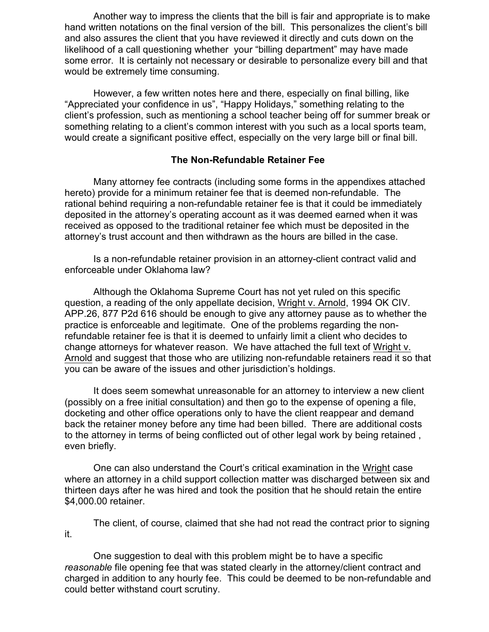Another way to impress the clients that the bill is fair and appropriate is to make hand written notations on the final version of the bill. This personalizes the client's bill and also assures the client that you have reviewed it directly and cuts down on the likelihood of a call questioning whether your "billing department" may have made some error. It is certainly not necessary or desirable to personalize every bill and that would be extremely time consuming.

However, a few written notes here and there, especially on final billing, like "Appreciated your confidence in us", "Happy Holidays," something relating to the client's profession, such as mentioning a school teacher being off for summer break or something relating to a client's common interest with you such as a local sports team, would create a significant positive effect, especially on the very large bill or final bill.

#### **The Non-Refundable Retainer Fee**

Many attorney fee contracts (including some forms in the appendixes attached hereto) provide for a minimum retainer fee that is deemed non-refundable. The rational behind requiring a non-refundable retainer fee is that it could be immediately deposited in the attorney's operating account as it was deemed earned when it was received as opposed to the traditional retainer fee which must be deposited in the attorney's trust account and then withdrawn as the hours are billed in the case.

Is a non-refundable retainer provision in an attorney-client contract valid and enforceable under Oklahoma law?

Although the Oklahoma Supreme Court has not yet ruled on this specific question, a reading of the only appellate decision, Wright v. Arnold, 1994 OK CIV. APP.26, 877 P2d 616 should be enough to give any attorney pause as to whether the practice is enforceable and legitimate. One of the problems regarding the nonrefundable retainer fee is that it is deemed to unfairly limit a client who decides to change attorneys for whatever reason. We have attached the full text of Wright v. Arnold and suggest that those who are utilizing non-refundable retainers read it so that you can be aware of the issues and other jurisdiction's holdings.

It does seem somewhat unreasonable for an attorney to interview a new client (possibly on a free initial consultation) and then go to the expense of opening a file, docketing and other office operations only to have the client reappear and demand back the retainer money before any time had been billed. There are additional costs to the attorney in terms of being conflicted out of other legal work by being retained , even briefly.

One can also understand the Court's critical examination in the Wright case where an attorney in a child support collection matter was discharged between six and thirteen days after he was hired and took the position that he should retain the entire \$4,000.00 retainer.

The client, of course, claimed that she had not read the contract prior to signing it.

One suggestion to deal with this problem might be to have a specific *reasonable* file opening fee that was stated clearly in the attorney/client contract and charged in addition to any hourly fee. This could be deemed to be non-refundable and could better withstand court scrutiny.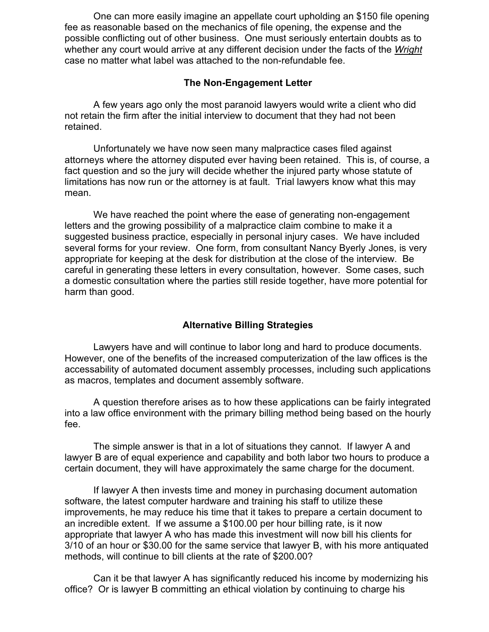One can more easily imagine an appellate court upholding an \$150 file opening fee as reasonable based on the mechanics of file opening, the expense and the possible conflicting out of other business. One must seriously entertain doubts as to whether any court would arrive at any different decision under the facts of the *Wright* case no matter what label was attached to the non-refundable fee.

#### **The Non-Engagement Letter**

A few years ago only the most paranoid lawyers would write a client who did not retain the firm after the initial interview to document that they had not been retained.

Unfortunately we have now seen many malpractice cases filed against attorneys where the attorney disputed ever having been retained. This is, of course, a fact question and so the jury will decide whether the injured party whose statute of limitations has now run or the attorney is at fault. Trial lawyers know what this may mean.

We have reached the point where the ease of generating non-engagement letters and the growing possibility of a malpractice claim combine to make it a suggested business practice, especially in personal injury cases. We have included several forms for your review. One form, from consultant Nancy Byerly Jones, is very appropriate for keeping at the desk for distribution at the close of the interview. Be careful in generating these letters in every consultation, however. Some cases, such a domestic consultation where the parties still reside together, have more potential for harm than good.

#### **Alternative Billing Strategies**

Lawyers have and will continue to labor long and hard to produce documents. However, one of the benefits of the increased computerization of the law offices is the accessability of automated document assembly processes, including such applications as macros, templates and document assembly software.

A question therefore arises as to how these applications can be fairly integrated into a law office environment with the primary billing method being based on the hourly fee.

The simple answer is that in a lot of situations they cannot. If lawyer A and lawyer B are of equal experience and capability and both labor two hours to produce a certain document, they will have approximately the same charge for the document.

If lawyer A then invests time and money in purchasing document automation software, the latest computer hardware and training his staff to utilize these improvements, he may reduce his time that it takes to prepare a certain document to an incredible extent. If we assume a \$100.00 per hour billing rate, is it now appropriate that lawyer A who has made this investment will now bill his clients for 3/10 of an hour or \$30.00 for the same service that lawyer B, with his more antiquated methods, will continue to bill clients at the rate of \$200.00?

Can it be that lawyer A has significantly reduced his income by modernizing his office? Or is lawyer B committing an ethical violation by continuing to charge his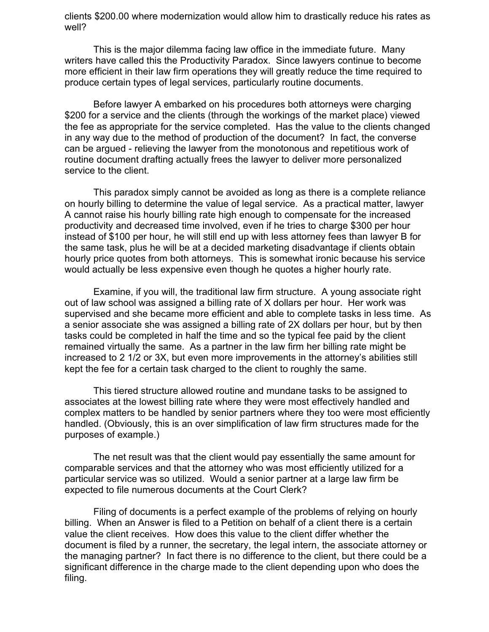clients \$200.00 where modernization would allow him to drastically reduce his rates as well?

This is the major dilemma facing law office in the immediate future. Many writers have called this the Productivity Paradox. Since lawyers continue to become more efficient in their law firm operations they will greatly reduce the time required to produce certain types of legal services, particularly routine documents.

Before lawyer A embarked on his procedures both attorneys were charging \$200 for a service and the clients (through the workings of the market place) viewed the fee as appropriate for the service completed. Has the value to the clients changed in any way due to the method of production of the document? In fact, the converse can be argued - relieving the lawyer from the monotonous and repetitious work of routine document drafting actually frees the lawyer to deliver more personalized service to the client.

This paradox simply cannot be avoided as long as there is a complete reliance on hourly billing to determine the value of legal service. As a practical matter, lawyer A cannot raise his hourly billing rate high enough to compensate for the increased productivity and decreased time involved, even if he tries to charge \$300 per hour instead of \$100 per hour, he will still end up with less attorney fees than lawyer B for the same task, plus he will be at a decided marketing disadvantage if clients obtain hourly price quotes from both attorneys. This is somewhat ironic because his service would actually be less expensive even though he quotes a higher hourly rate.

Examine, if you will, the traditional law firm structure. A young associate right out of law school was assigned a billing rate of X dollars per hour. Her work was supervised and she became more efficient and able to complete tasks in less time. As a senior associate she was assigned a billing rate of 2X dollars per hour, but by then tasks could be completed in half the time and so the typical fee paid by the client remained virtually the same. As a partner in the law firm her billing rate might be increased to 2 1/2 or 3X, but even more improvements in the attorney's abilities still kept the fee for a certain task charged to the client to roughly the same.

This tiered structure allowed routine and mundane tasks to be assigned to associates at the lowest billing rate where they were most effectively handled and complex matters to be handled by senior partners where they too were most efficiently handled. (Obviously, this is an over simplification of law firm structures made for the purposes of example.)

The net result was that the client would pay essentially the same amount for comparable services and that the attorney who was most efficiently utilized for a particular service was so utilized. Would a senior partner at a large law firm be expected to file numerous documents at the Court Clerk?

Filing of documents is a perfect example of the problems of relying on hourly billing. When an Answer is filed to a Petition on behalf of a client there is a certain value the client receives. How does this value to the client differ whether the document is filed by a runner, the secretary, the legal intern, the associate attorney or the managing partner? In fact there is no difference to the client, but there could be a significant difference in the charge made to the client depending upon who does the filing.